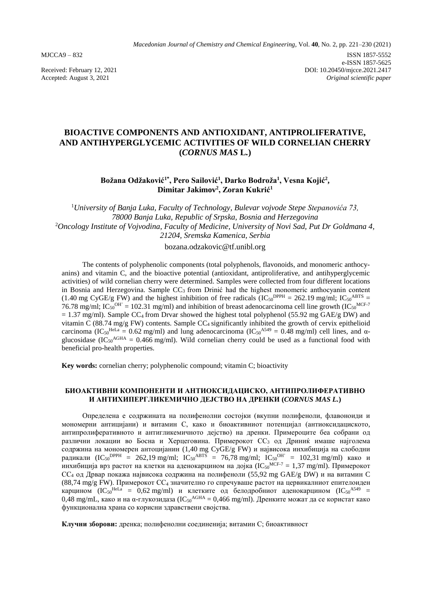*Macedonian Journal of Chemistry and Chemical Engineering,* Vol. **40**, No. 2, pp. 221–230 (2021) MJCCA9 – 832 ISSN 1857-5552 e-ISSN 1857-5625 Received: February 12, 2021<br>
Accepted: August 3, 2021<br>  $O1: 10.20450/mjcce.2021.2417$ <br>  $O1: 10.20450/mjcce.2021.2417$ 

Accepted: August 3, 2021

# **BIOACTIVE COMPONENTS AND ANTIOXIDANT, ANTIPROLIFERATIVE, AND ANTIHYPERGLYCEMIC ACTIVITIES OF WILD CORNELIAN CHERRY (***CORNUS MAS* **L***.***)**

**Božana Odžaković1\* , Pero Sailović<sup>1</sup> , Darko Bodroža<sup>1</sup> , Vesna Kojić<sup>2</sup> , Dimitar Jakimov<sup>2</sup> , Zoran Kukrić<sup>1</sup>**

<sup>1</sup>*University of Banja Luka, Faculty of Technology, Bulevar vojvode Stepe Stepanovića 73, 78000 Banja Luka, Republic of Srpska, Bosnia and Herzegovina* <sup>2</sup>*Oncology Institute of Vojvodina, Faculty of Medicine, University of Novi Sad, Put Dr Goldmana 4, 21204, Sremska Kamenica, Serbia*

bozana.odzakovic@tf.unibl.org

The contents of polyphenolic components (total polyphenols, flavonoids, and monomeric anthocyanins) and vitamin C, and the bioactive potential (antioxidant, antiproliferative, and antihyperglycemic activities) of wild cornelian cherry were determined. Samples were collected from four different locations in Bosnia and Herzegovina. Sample  $CC_3$  from Drinić had the highest monomeric anthocyanin content (1.40 mg CyGE/g FW) and the highest inhibition of free radicals ( $IC_{50}^{DPPH} = 262.19$  mg/ml;  $IC_{50}^{ABTS} =$ 76.78 mg/ml;  $IC_{50}^{OH} = 102.31$  mg/ml) and inhibition of breast adenocarcinoma cell line growth ( $IC_{50}^{MCF-7}$ )  $= 1.37$  mg/ml). Sample CC<sub>4</sub> from Drvar showed the highest total polyphenol (55.92 mg GAE/g DW) and vitamin  $\tilde{C}$  (88.74 mg/g FW) contents. Sample CC<sub>4</sub> significantly inhibited the growth of cervix epithelioid carcinoma (IC<sub>50</sub><sup>HeLa</sup> = 0.62 mg/ml) and lung adenocarcinoma (IC<sub>50</sub><sup>A549</sup> = 0.48 mg/ml) cell lines, and  $\alpha$ glucosidase (IC<sub>50</sub><sup>AGHA</sup> = 0.466 mg/ml). Wild cornelian cherry could be used as a functional food with beneficial pro-health properties.

**Key words:** cornelian cherry; polyphenolic compound; vitamin C; bioactivity

#### **БИОАКТИВНИ КОМПОНЕНТИ И АНТИОКСИДАЦИСКО, АНТИПРОЛИФЕРАТИВНО И АНТИХИПЕРГЛИКЕМИЧНО ДЕЈСТВО НА ДРЕНКИ (***CORNUS MAS L.***)**

Определена е содржината на полифенолни состојки (вкупни полифеноли, флавоноиди и мономерни антицијани) и витамин С, како и биоактивниот потенцијал (антиоксидациското, антипролиферативното и антигликемичното дејство) на дренки. Примероците беа собрани од различни локации во Босна и Херцеговина. Примерокот СС<sub>3</sub> од Дриниќ имаше најголема содржина на мономерен антоцијанин (1,40 mg CyGE/g FW) и највисока инхибиција на слободни радикали (IC<sub>50</sub><sup>DPPH</sup> = 262,19 mg/ml; IC<sub>50</sub><sup>ABTS</sup> = 76,78 mg/ml; IC<sub>50</sub><sup>OH</sup> = 102,31 mg/ml) како и инхибиција врз растот на клетки на аденокарцином на дојка (IC<sub>50</sub><sup>MCF-7</sup> = 1,37 mg/ml). Примерокот СС<sup>4</sup> од Дрвар покажа највисока содржина на полифеноли (55,92 mg GAE/g DW) и на витамин C  $(88,74 \text{ mg/g FW})$ . Примерокот СС<sub>4</sub> значително го спречуваше растот на цервикалниот епителоиден карцином (IC<sub>50</sub><sup>HeLa</sup> = 0,62 mg/ml) и клетките од белодробниот аденокарцином (IC<sub>50</sub><sup>A549</sup> =  $0,48$  mg/mL, како и на α-глукозидаза (IC50<sup>AGHA</sup> = 0,466 mg/ml). Дренките можат да се користат како функционална храна со корисни здравствени својства.

**Клучни зборови:** дренка; полифенолни соединенија; витамин С; биоактивност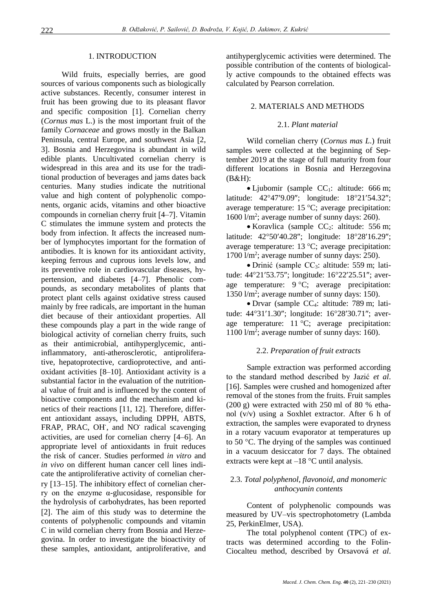#### 1. INTRODUCTION

Wild fruits, especially berries, are good sources of various components such as biologically active substances. Recently, consumer interest in fruit has been growing due to its pleasant flavor and specific composition  $[1]$ . Cornelian cherry (*Cornus mas* L.) is the most important fruit of the family *Cornaceae* and grows mostly in the Balkan Peninsula, central Europe, and southwest Asia [2, 3]. Bosnia and Herzegovina is abundant in wild edible plants. Uncultivated cornelian cherry is widespread in this area and its use for the traditional production of beverages and jams dates back centuries. Many studies indicate the nutritional value and high content of polyphenolic components, organic acids, vitamins and other bioactive compounds in cornelian cherry fruit [4–7]. Vitamin C stimulates the immune system and protects the body from infection. It affects the increased number of lymphocytes important for the formation of antibodies. It is known for its antioxidant activity, keeping ferrous and cuprous ions levels low, and its preventive role in cardiovascular diseases, hypertension, and diabetes [4–7]. Phenolic compounds, as secondary metabolites of plants that protect plant cells against oxidative stress caused mainly by free radicals, are important in the human diet because of their antioxidant properties. All these compounds play a part in the wide range of biological activity of cornelian cherry fruits, such as their antimicrobial, antihyperglycemic, antiinflammatory, anti-atherosclerotic, antiproliferative, hepatoprotective, cardioprotective, and antioxidant activities  $[8-10]$ . Antioxidant activity is a substantial factor in the evaluation of the nutritional value of fruit and is influenced by the content of bioactive components and the mechanism and kinetics of their reactions [11, 12]. Therefore, different antioxidant assays, including DPPH, ABTS, FRAP, PRAC, OH<sup>'</sup>, and NO<sup>'</sup> radical scavenging activities, are used for cornelian cherry  $[4–6]$ . An appropriate level of antioxidants in fruit reduces the risk of cancer. Studies performed *in vitro* and *in vivo* on different human cancer cell lines indicate the antiproliferative activity of cornelian cherry [13–15]. The inhibitory effect of cornelian cherry on the enzyme α-glucosidase, responsible for the hydrolysis of carbohydrates, has been reported [2]. The aim of this study was to determine the contents of polyphenolic compounds and vitamin C in wild cornelian cherry from Bosnia and Herzegovina. In order to investigate the bioactivity of these samples, antioxidant, antiproliferative, and

antihyperglycemic activities were determined. The possible contribution of the contents of biologically active compounds to the obtained effects was calculated by Pearson correlation.

### 2. MATERIALS AND METHODS

### 2.1. *Plant material*

Wild cornelian cherry (*Cornus mas L*.) fruit samples were collected at the beginning of September 2019 at the stage of full maturity from four different locations in Bosnia and Herzegovina  $(B&H):$ 

 $\bullet$  Ljubomir (sample CC<sub>1</sub>: altitude: 666 m; latitude: 42°47'9.09"; longitude: 18°21'54.32"; average temperature: 15  $^{\circ}$ C; average precipitation: 1600 l/m<sup>2</sup> ; average number of sunny days: 260).

• Koravlica (sample  $CC_2$ : altitude: 556 m; latitude: 42°50'40.28"; longitude: 18°28'16.29"; average temperature:  $13 \text{ °C}$ ; average precipitation: 1700 l/m<sup>2</sup>; average number of sunny days: 250).

• Drinić (sample CC<sub>3</sub>: altitude: 559 m; latitude: 44°21′53.75"; longitude: 16°22′25.51"; average temperature:  $9^{\circ}C$ ; average precipitation: 1350 l/m<sup>2</sup> ; average number of sunny days: 150).

 Drvar (sample CC4: altitude: 789 m; latitude: 44°31'1.30"; longitude: 16°28'30.71"; average temperature:  $11 \degree C$ ; average precipitation: 1100 l/m<sup>2</sup>; average number of sunny days: 160).

# 2.2. *Preparation of fruit extracts*

Sample extraction was performed according to the standard method described by Jazić *et al*. [16]. Samples were crushed and homogenized after removal of the stones from the fruits. Fruit samples (200 g) were extracted with 250 ml of 80 % ethanol (v/v) using a Soxhlet extractor. After 6 h of extraction, the samples were evaporated to dryness in a rotary vacuum evaporator at temperatures up to 50  $\degree$ C. The drying of the samples was continued in a vacuum desiccator for 7 days. The obtained extracts were kept at  $-18$  °C until analysis.

### 2.3. *Total polyphenol, flavonoid, and monomeric anthocyanin contents*

Content of polyphenolic compounds was measured by UV–vis spectrophotometry (Lambda 25, PerkinElmer, USA).

The total polyphenol content (TPC) of extracts was determined according to the Folin-Ciocalteu method, described by Orsavová *et al*.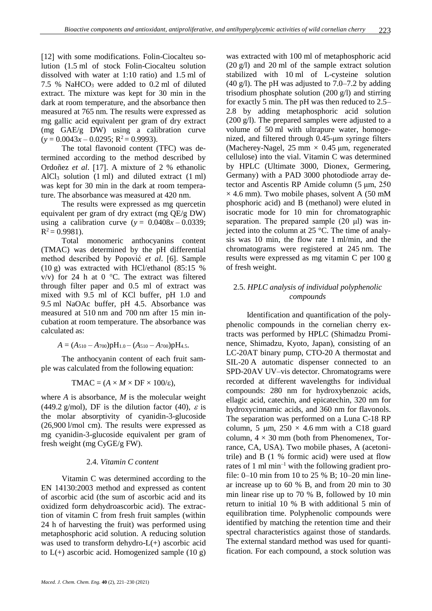[12] with some modifications. Folin-Ciocalteu solution (1.5 ml of stock Folin-Ciocalteu solution dissolved with water at 1:10 ratio) and 1.5 ml of 7.5 % NaHCO<sub>3</sub> were added to 0.2 ml of diluted extract. The mixture was kept for 30 min in the dark at room temperature, and the absorbance then measured at 765 nm. The results were expressed as mg gallic acid equivalent per gram of dry extract (mg GAE/g DW) using a calibration curve  $(y = 0.0043x - 0.0295; R^2 = 0.9993)$ .

The total flavonoid content (TFC) was determined according to the method described by Ordoñez *et al.* [17]. A mixture of 2 % ethanolic AlCl<sub>3</sub> solution  $(1 \text{ ml})$  and diluted extract  $(1 \text{ ml})$ was kept for 30 min in the dark at room temperature. The absorbance was measured at 420 nm.

The results were expressed as mg quercetin equivalent per gram of dry extract (mg QE/g DW) using a calibration curve ( $y = 0.0408x - 0.0339$ ;  $R^2 = 0.9981$ ).

Total monomeric anthocyanins content (TMAC) was determined by the pH differential method described by Popović *et al.* [6]. Sample (10 g) was extracted with HCl/ethanol (85:15 %  $v/v$ ) for 24 h at 0 °C. The extract was filtered through filter paper and 0.5 ml of extract was mixed with 9.5 ml of KCl buffer, pH 1.0 and 9.5 ml NaOAc buffer, pH 4.5. Absorbance was measured at 510 nm and 700 nm after 15 min incubation at room temperature. The absorbance was calculated as:

$$
A = (A_{510} - A_{700})pH_{1.0} - (A_{510} - A_{700})pH_{4.5}.
$$

The anthocyanin content of each fruit sample was calculated from the following equation:

$$
TMAC = (A \times M \times DF \times 100/\epsilon),
$$

where *A* is absorbance, *M* is the molecular weight (449.2 g/mol), DF is the dilution factor (40),  $\varepsilon$  is the molar absorptivity of cyanidin-3-glucoside (26,900 l/mol cm). The results were expressed as mg cyanidin-3-glucoside equivalent per gram of fresh weight (mg CyGE/g FW).

## 2.4. *Vitamin C content*

Vitamin C was determined according to the EN 14130:2003 method and expressed as content of ascorbic acid (the sum of ascorbic acid and its oxidized form dehydroascorbic acid). The extraction of vitamin C from fresh fruit samples (within 24 h of harvesting the fruit) was performed using metaphosphoric acid solution. A reducing solution was used to transform dehydro-L(+) ascorbic acid to  $L(+)$  ascorbic acid. Homogenized sample (10 g) was extracted with 100 ml of metaphosphoric acid (20 g/l) and 20 ml of the sample extract solution stabilized with 10 ml of L-cysteine solution  $(40 \text{ g/l})$ . The pH was adjusted to 7.0–7.2 by adding trisodium phosphate solution (200 g/l) and stirring for exactly 5 min. The pH was then reduced to 2.5– 2.8 by adding metaphosphoric acid solution (200 g/l). The prepared samples were adjusted to a volume of 50 ml with ultrapure water, homogenized, and filtered through 0.45-μm syringe filters (Macherey-Nagel, 25 mm  $\times$  0.45 µm, regenerated cellulose) into the vial. Vitamin C was determined by HPLC (Ultimate 3000, Dionex, Germering, Germany) with a PAD 3000 photodiode array detector and Ascentis RP Amide column (5 μm, 250  $\times$  4.6 mm). Two mobile phases, solvent A (50 mM phosphoric acid) and B (methanol) were eluted in isocratic mode for 10 min for chromatographic separation. The prepared sample  $(20 \mu l)$  was injected into the column at 25 °C. The time of analysis was 10 min, the flow rate 1 ml/min, and the chromatograms were registered at 245 nm. The results were expressed as mg vitamin C per 100 g of fresh weight.

# 2.5. *HPLC analysis of individual polyphenolic compounds*

Identification and quantification of the polyphenolic compounds in the cornelian cherry extracts was performed by HPLC (Shimadzu Prominence, Shimadzu, Kyoto, Japan), consisting of an LC-20AT binary pump, CTO-20 A thermostat and SIL-20 A automatic dispenser connected to an SPD-20AV UV–vis detector. Chromatograms were recorded at different wavelengths for individual compounds: 280 nm for hydroxybenzoic acids, ellagic acid, catechin, and epicatechin, 320 nm for hydroxycinnamic acids, and 360 nm for flavonols. The separation was performed on a Luna C-18 RP column, 5  $\mu$ m, 250  $\times$  4.6 mm with a C18 guard column,  $4 \times 30$  mm (both from Phenomenex, Torrance, CA, USA). Two mobile phases, A (acetonitrile) and B (1 % formic acid) were used at flow rates of 1 ml min<sup>-1</sup> with the following gradient profile: 0–10 min from 10 to 25 % B; 10–20 min linear increase up to 60 % B, and from 20 min to 30 min linear rise up to 70 % B, followed by 10 min return to initial 10 % B with additional 5 min of equilibration time. Polyphenolic compounds were identified by matching the retention time and their spectral characteristics against those of standards. The external standard method was used for quantification. For each compound, a stock solution was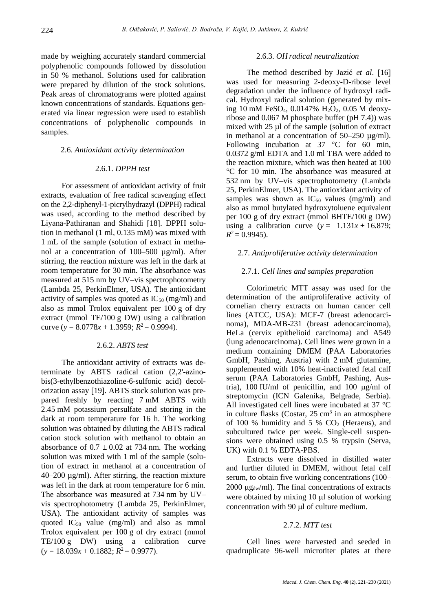made by weighing accurately standard commercial polyphenolic compounds followed by dissolution in 50 % methanol. Solutions used for calibration were prepared by dilution of the stock solutions. Peak areas of chromatograms were plotted against known concentrations of standards. Equations generated via linear regression were used to establish concentrations of polyphenolic compounds in samples.

#### 2.6. *Antioxidant activity determination*

#### 2.6.1. *DPPH test*

For assessment of antioxidant activity of fruit extracts, evaluation of free radical scavenging effect on the 2,2-diphenyl-1-picrylhydrazyl (DPPH) radical was used, according to the method described by Liyana-Pathiranan and Shahidi [18]. DPPH solution in methanol (1 ml, 0.135 mM) was mixed with 1 mL of the sample (solution of extract in methanol at a concentration of 100–500 µg/ml). After stirring, the reaction mixture was left in the dark at room temperature for 30 min. The absorbance was measured at 515 nm by UV–vis spectrophotometry (Lambda 25, PerkinElmer, USA). The antioxidant activity of samples was quoted as  $IC_{50}$  (mg/ml) and also as mmol Trolox equivalent per 100 g of dry extract (mmol TE/100 g DW) using a calibration curve ( $y = 8.0778x + 1.3959$ ;  $R^2 = 0.9994$ ).

## 2.6.2. *ABTS test*

The antioxidant activity of extracts was determinate by ABTS radical cation (2,2'-azinobis(3-ethylbenzothiazoline-6-sulfonic acid) decolorization assay [19]. ABTS stock solution was prepared freshly by reacting 7 mM ABTS with 2.45 mM potassium persulfate and storing in the dark at room temperature for 16 h. The working solution was obtained by diluting the ABTS radical cation stock solution with methanol to obtain an absorbance of  $0.7 \pm 0.02$  at 734 nm. The working solution was mixed with 1 ml of the sample (solution of extract in methanol at a concentration of 40–200 µg/ml). After stirring, the reaction mixture was left in the dark at room temperature for 6 min. The absorbance was measured at 734 nm by UV– vis spectrophotometry (Lambda 25, PerkinElmer, USA). The antioxidant activity of samples was quoted  $IC_{50}$  value (mg/ml) and also as mmol Trolox equivalent per 100 g of dry extract (mmol TE/100 g DW) using a calibration curve  $(y = 18.039x + 0.1882; R^2 = 0.9977).$ 

#### 2.6.3. *OH radical neutralization*

The method described by Jazić *et al.* [16] was used for measuring 2-deoxy-D-ribose level degradation under the influence of hydroxyl radical. Hydroxyl radical solution (generated by mixing 10 mM FeSO<sub>4</sub>, 0.0147% H<sub>2</sub>O<sub>2</sub>, 0.05 M deoxyribose and 0.067 M phosphate buffer (pH 7.4)) was mixed with 25 µl of the sample (solution of extract in methanol at a concentration of  $50-250 \mu g/ml$ . Following incubation at  $37^{\circ}$ C for 60 min, 0.0372 g/ml EDTA and 1.0 ml TBA were added to the reaction mixture, which was then heated at 100 C for 10 min. The absorbance was measured at 532 nm by UV–vis spectrophotometry (Lambda 25, PerkinElmer, USA). The antioxidant activity of samples was shown as  $IC_{50}$  values (mg/ml) and also as mmol butylated hydroxytoluene equivalent per 100 g of dry extract (mmol BHTE/100 g DW) using a calibration curve  $(y = 1.131x + 16.879)$ ;  $R^2$  = 0.9945).

### 2.7. *Antiproliferative activity determination*

#### 2.7.1. *Cell lines and samples preparation*

Colorimetric MTT assay was used for the determination of the antiproliferative activity of cornelian cherry extracts on human cancer cell lines (ATCC, USA): MCF-7 (breast adenocarcinoma), MDA-MB-231 (breast adenocarcinoma), HeLa (cervix epithelioid carcinoma) and A549 (lung adenocarcinoma). Cell lines were grown in a medium containing DMEM (PAA Laboratories GmbH, Pashing, Austria) with 2 mM glutamine, supplemented with 10% heat-inactivated fetal calf serum (PAA Laboratories GmbH, Pashing, Austria), 100 IU/ml of penicillin, and 100  $\mu$ g/ml of streptomycin (ICN Galenika, Belgrade, Serbia). All investigated cell lines were incubated at 37 °C in culture flasks (Costar,  $25 \text{ cm}^3$  in an atmosphere of 100 % humidity and 5 %  $CO<sub>2</sub>$  (Heraeus), and subcultured twice per week. Single-cell suspensions were obtained using 0.5 % trypsin (Serva, UK) with 0.1 % EDTA-PBS.

Extracts were dissolved in distilled water and further diluted in DMEM, without fetal calf serum, to obtain five working concentrations (100–  $2000 \mu g_{dw}/ml$ ). The final concentrations of extracts were obtained by mixing  $10 \mu l$  solution of working concentration with  $90 \mu l$  of culture medium.

#### 2.7.2. *MTT test*

Cell lines were harvested and seeded in quadruplicate 96-well microtiter plates at there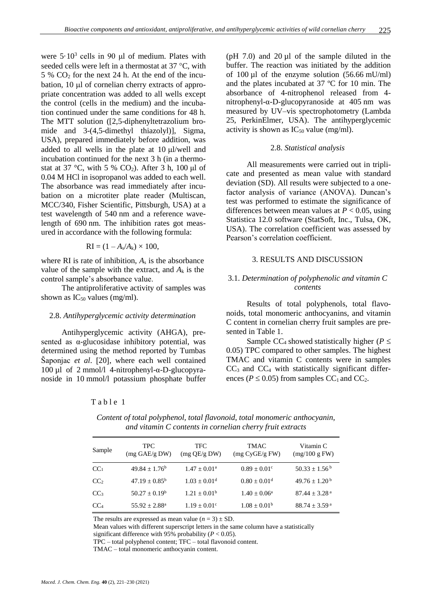were  $5 \cdot 10^3$  cells in 90  $\mu$ l of medium. Plates with seeded cells were left in a thermostat at  $37^{\circ}$ C, with  $5\%$  CO<sub>2</sub> for the next 24 h. At the end of the incubation,  $10 \mu l$  of cornelian cherry extracts of appropriate concentration was added to all wells except the control (cells in the medium) and the incubation continued under the same conditions for 48 h. The MTT solution ([2,5-diphenyltetrazolium bromide and 3-(4,5-dimethyl thiazolyl)], Sigma, USA), prepared immediately before addition, was added to all wells in the plate at  $10 \mu$ l/well and incubation continued for the next 3 h (in a thermostat at 37 °C, with 5 %  $CO<sub>2</sub>$ ). After 3 h, 100 µl of 0.04 M HCl in isopropanol was added to each well. The absorbance was read immediately after incubation on a microtiter plate reader (Multiscan, MCC/340, Fisher Scientific, Pittsburgh, USA) at a test wavelength of 540 nm and a reference wavelength of 690 nm. The inhibition rates got measured in accordance with the following formula:

$$
RI = (1 - A_s/A_k) \times 100,
$$

where RI is rate of inhibition, *A*<sup>s</sup> is the absorbance value of the sample with the extract, and  $A_k$  is the control sample's absorbance value.

The antiproliferative activity of samples was shown as  $IC_{50}$  values (mg/ml).

#### 2.8. *Antihyperglycemic activity determination*

Antihyperglycemic activity (AHGA), presented as  $\alpha$ -glucosidase inhibitory potential, was determined using the method reported by Tumbas Šaponjac *et al.* [20], where each well contained 100 µl of 2 mmol/l 4-nitrophenyl-α-D-glucopyranoside in 10 mmol/l potassium phosphate buffer ( $pH$  7.0) and 20  $\mu$ l of the sample diluted in the buffer. The reaction was initiated by the addition of 100 µl of the enzyme solution (56.66 mU/ml) and the plates incubated at 37 ºC for 10 min. The absorbance of 4-nitrophenol released from 4 nitrophenyl-α-D-glucopyranoside at 405 nm was measured by UV–vis spectrophotometry (Lambda 25, PerkinElmer, USA). The antihyperglycemic activity is shown as  $IC_{50}$  value (mg/ml).

#### 2.8. *Statistical analysis*

All measurements were carried out in triplicate and presented as mean value with standard deviation (SD). All results were subjected to a onefactor analysis of variance (ANOVA). Duncan's test was performed to estimate the significance of differences between mean values at  $P < 0.05$ , using Statistica 12.0 software (StatSoft, Inc., Tulsa, OK, USA). The correlation coefficient was assessed by Pearson's correlation coefficient.

### 3. RESULTS AND DISCUSSION

### 3.1. *Determination of polyphenolic and vitamin C contents*

Results of total polyphenols, total flavonoids, total monomeric anthocyanins, and vitamin C content in cornelian cherry fruit samples are presented in Table 1.

Sample CC<sub>4</sub> showed statistically higher ( $P \leq$ 0.05) TPC compared to other samples. The highest TMAC and vitamin C contents were in samples  $CC<sub>3</sub>$  and  $CC<sub>4</sub>$  with statistically significant differences ( $P \le 0.05$ ) from samples CC<sub>1</sub> and CC<sub>2</sub>.

### Table 1

| Sample          | TPC.<br>$(mg \text{ GAE/g DW})$ | TFC.<br>(mg QE/gDW)          | TMAC<br>(mg CyGE/g FW)       | Vitamin C<br>(mg/100 g FW)    |
|-----------------|---------------------------------|------------------------------|------------------------------|-------------------------------|
| $\rm CC_{1}$    | $49.84 \pm 1.76^b$              | $1.47 \pm 0.01^{\rm a}$      | $0.89 \pm 0.01$ °            | $50.33 \pm 1.56^{\mathrm{b}}$ |
| CC <sub>2</sub> | $47.19 \pm 0.85^{\rm b}$        | $1.03 \pm 0.01$ <sup>d</sup> | $0.80 \pm 0.01$ <sup>d</sup> | $49.76 \pm 1.20^{\mathrm{b}}$ |
| CC <sub>3</sub> | $50.27 \pm 0.19^b$              | $1.21 + 0.01b$               | $1.40 \pm 0.06^{\rm a}$      | $87.44 + 3.28$ <sup>a</sup>   |
| $\rm{CC}_{4}$   | $55.92 \pm 2.88^{\text{a}}$     | $1.19 \pm 0.01^{\circ}$      | $1.08 \pm 0.01^{\rm b}$      | $88.74 \pm 3.59^{\text{ a}}$  |
|                 |                                 |                              |                              |                               |

*Content of total polyphenol, total flavonoid, total monomeric anthocyanin, and vitamin C contents in cornelian cherry fruit extracts*

The results are expressed as mean value  $(n = 3) \pm SD$ .

Mean values with different superscript letters in the same column have a statistically

significant difference with 95% probability (*P* < 0.05). TPC – total polyphenol content; TFC – total flavonoid content.

TMAC – total monomeric anthocyanin content.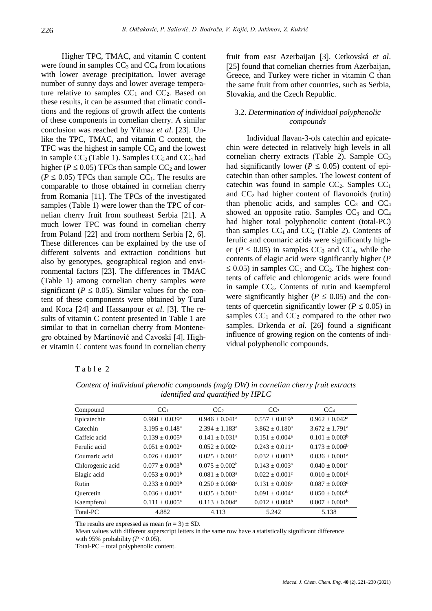Higher TPC, TMAC, and vitamin C content were found in samples  $CC_3$  and  $CC_4$  from locations with lower average precipitation, lower average number of sunny days and lower average temperature relative to samples  $CC_1$  and  $CC_2$ . Based on these results, it can be assumed that climatic conditions and the regions of growth affect the contents of these components in cornelian cherry. A similar conclusion was reached by Yilmaz et al. [23]. Unlike the TPC, TMAC, and vitamin C content, the TFC was the highest in sample  $CC_1$  and the lowest in sample  $CC_2$  (Table 1). Samples  $CC_3$  and  $CC_4$  had higher ( $P \le 0.05$ ) TFCs than sample CC<sub>2</sub> and lower  $(P \le 0.05)$  TFCs than sample CC<sub>1</sub>. The results are comparable to those obtained in cornelian cherry from Romania [11]. The TPCs of the investigated samples (Table 1) were lower than the TPC of cornelian cherry fruit from southeast Serbia [21]. A much lower TPC was found in cornelian cherry from Poland  $[22]$  and from northern Serbia  $[2, 6]$ . These differences can be explained by the use of different solvents and extraction conditions but also by genotypes, geographical region and environmental factors [23]. The differences in TMAC (Table 1) among cornelian cherry samples were significant ( $P \leq 0.05$ ). Similar values for the content of these components were obtained by Tural and Koca [24] and Hassanpour *et al.* [3]. The results of vitamin C content presented in Table 1 are similar to that in cornelian cherry from Montenegro obtained by Martinović and Cavoski [4]. Higher vitamin C content was found in cornelian cherry fruit from east Azerbaijan [3]. Cetkovská et al. [25] found that cornelian cherries from Azerbaijan, Greece, and Turkey were richer in vitamin C than the same fruit from other countries, such as Serbia, Slovakia, and the Czech Republic.

## 3.2. *Determination of individual polyphenolic compounds*

Individual flavan-3-ols catechin and epicatechin were detected in relatively high levels in all cornelian cherry extracts (Table 2). Sample  $CC<sub>3</sub>$ had significantly lower ( $P \le 0.05$ ) content of epicatechin than other samples. The lowest content of catechin was found in sample  $CC_2$ . Samples  $CC_1$ and  $CC<sub>2</sub>$  had higher content of flavonoids (rutin) than phenolic acids, and samples  $CC_3$  and  $CC_4$ showed an opposite ratio. Samples  $CC<sub>3</sub>$  and  $CC<sub>4</sub>$ had higher total polyphenolic content (total-PC) than samples  $CC_1$  and  $CC_2$  (Table 2). Contents of ferulic and coumaric acids were significantly higher ( $P \le 0.05$ ) in samples CC<sub>3</sub> and CC<sub>4</sub>, while the contents of elagic acid were significantly higher (*P*  $\leq$  0.05) in samples CC<sub>1</sub> and CC<sub>2</sub>. The highest contents of caffeic and chlorogenic acids were found in sample  $CC<sub>3</sub>$ . Contents of rutin and kaempferol were significantly higher ( $P \leq 0.05$ ) and the contents of quercetin significantly lower ( $P \le 0.05$ ) in samples  $CC_1$  and  $CC_2$  compared to the other two samples. Drkenda *et al.* [26] found a significant influence of growing region on the contents of individual polyphenolic compounds.

### Table 2

| Compound         | CC <sub>1</sub>                | CC <sub>2</sub>                | CC <sub>3</sub>         | CC <sub>4</sub>              |
|------------------|--------------------------------|--------------------------------|-------------------------|------------------------------|
| Epicatechin      | $0.960 \pm 0.039^a$            | $0.946 + 0.041$ <sup>a</sup>   | $0.557 \pm 0.019^b$     | $0.962 \pm 0.042^a$          |
| Catechin         | $3.195 + 0.148^a$              | $2.394 + 1.183^a$              | $3.862 \pm 0.180^a$     | $3.672 + 1.791$ <sup>a</sup> |
| Caffeic acid     | $0.139 + 0.005^a$              | $0.141 + 0.031$ <sup>a</sup>   | $0.151 + 0.004^a$       | $0.101 + 0.003b$             |
| Ferulic acid     | $0.051 \pm 0.002$ <sup>c</sup> | $0.052 + 0.002^{\circ}$        | $0.243 + 0.011^a$       | $0.173 + 0.006^b$            |
| Coumaric acid    | $0.026 + 0.001^{\circ}$        | $0.025 + 0.001^{\circ}$        | $0.032 + 0.001b$        | $0.036 + 0.001^a$            |
| Chlorogenic acid | $0.077 + 0.003b$               | $0.075 \pm 0.002^b$            | $0.143 + 0.003a$        | $0.040 + 0.001^{\circ}$      |
| Elagic acid      | $0.053 \pm 0.001^b$            | $0.081 \pm 0.003$ <sup>a</sup> | $0.022 + 0.001^{\circ}$ | $0.010 + 0.001d$             |
| Rutin            | $0.233 + 0.009b$               | $0.250 + 0.008^a$              | $0.131 \pm 0.006c$      | $0.087 + 0.003d$             |
| Ouercetin        | $0.036 \pm 0.001$ <sup>c</sup> | $0.035 \pm 0.001$ <sup>c</sup> | $0.091 \pm 0.004^a$     | $0.050 + 0.002^b$            |
| Kaempferol       | $0.111 \pm 0.005^{\text{a}}$   | $0.113 + 0.004^a$              | $0.012 + 0.004b$        | $0.007 + 0.001b$             |
| Total-PC         | 4.882                          | 4.113                          | 5.242                   | 5.138                        |

*Content of individual phenolic compounds (mg/g DW) in cornelian cherry fruit extracts identified and quantified by HPLC*

The results are expressed as mean  $(n = 3) \pm SD$ .

 Mean values with different superscript letters in the same row have a statistically significant difference with 95% probability  $(P < 0.05)$ .

Total-PC – total polyphenolic content.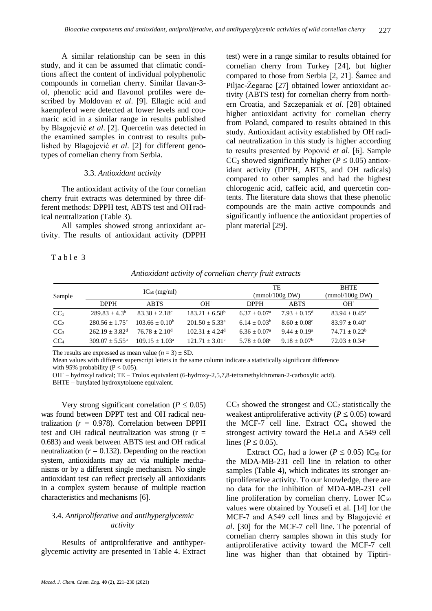A similar relationship can be seen in this study, and it can be assumed that climatic conditions affect the content of individual polyphenolic compounds in cornelian cherry. Similar flavan-3 ol, phenolic acid and flavonol profiles were described by Moldovan *et al.* [9]. Ellagic acid and kaempferol were detected at lower levels and coumaric acid in a similar range in results published by Blagojević et al. [2]. Quercetin was detected in the examined samples in contrast to results published by Blagojević *et al.* [2] for different genotypes of cornelian cherry from Serbia.

#### 3.3. *Antioxidant activity*

The antioxidant activity of the four cornelian cherry fruit extracts was determined by three different methods: DPPH test, ABTS test and OH radical neutralization (Table 3).

All samples showed strong antioxidant activity. The results of antioxidant activity (DPPH

Table 3

test) were in a range similar to results obtained for cornelian cherry from Turkey [24], but higher compared to those from Serbia  $[2, 21]$ . Šamec and Piljac-Žegarac [27] obtained lower antioxidant activity (ABTS test) for cornelian cherry from northern Croatia, and Szczepaniak et al. [28] obtained higher antioxidant activity for cornelian cherry from Poland, compared to results obtained in this study. Antioxidant activity established by OH radical neutralization in this study is higher according to results presented by Popović *et al.* [6]. Sample  $CC_3$  showed significantly higher ( $P \le 0.05$ ) antioxidant activity (DPPH, ABTS, and OH radicals) compared to other samples and had the highest chlorogenic acid, caffeic acid, and quercetin contents. The literature data shows that these phenolic compounds are the main active compounds and significantly influence the antioxidant properties of plant material [29].

*Antioxidant activity of cornelian cherry fruit extracts*

| Sample          |                              | $IC_{50}$ (mg/ml)         |                              |                       | TE<br>(mmol/100g DW)  | <b>BHTE</b><br>(mmol/100g DW) |
|-----------------|------------------------------|---------------------------|------------------------------|-----------------------|-----------------------|-------------------------------|
|                 | <b>DPPH</b>                  | <b>ABTS</b>               | OH.                          | <b>DPPH</b>           | <b>ABTS</b>           | OH.                           |
| CC <sub>1</sub> | $289.83 + 4.3b$              | $83.38 + 2.18^{\circ}$    | $183.21 \pm 6.58^{\circ}$    | $6.37 + 0.07^{\circ}$ | $7.93 + 0.15^d$       | $83.94 \pm 0.45^{\circ}$      |
| CC <sub>2</sub> | $280.56 + 1.75$              | $103.66 + 0.10b$          | $201.50 + 5.33a$             | $6.14 + 0.03^b$       | $8.60 + 0.08^{\circ}$ | $83.97 \pm 0.40^{\circ}$      |
| CC <sub>3</sub> | $262.19 + 3.82$ <sup>d</sup> | $76.78 + 2.10d$           | $102.31 + 4.24$ <sup>d</sup> | $6.36 + 0.07^{\circ}$ | $9.44 + 0.19^a$       | $74.71 + 0.22^b$              |
| CC <sub>4</sub> | $309.07 + 5.55^{\text{a}}$   | $109.15 \pm 1.03^{\circ}$ | $121.71 \pm 3.01^{\circ}$    | $5.78 + 0.08^{\circ}$ | $9.18 + 0.07^b$       | $72.03 \pm 0.34$ °            |
|                 |                              |                           |                              |                       |                       |                               |

The results are expressed as mean value  $(n = 3) \pm SD$ .

 Mean values with different superscript letters in the same column indicate a statistically significant difference with 95% probability ( $P < 0.05$ ).

 OH˙ – hydroxyl radical; TE – Trolox equivalent (6-hydroxy-2,5,7,8-tetramethylchroman-2-carboxylic acid). BHTE – butylated hydroxytoluene equivalent.

Very strong significant correlation ( $P \leq 0.05$ ) was found between DPPT test and OH radical neutralization  $(r = 0.978)$ . Correlation between DPPH test and OH radical neutralization was strong  $(r =$ 0.683) and weak between ABTS test and OH radical neutralization  $(r = 0.132)$ . Depending on the reaction system, antioxidants may act via multiple mechanisms or by a different single mechanism. No single antioxidant test can reflect precisely all antioxidants in a complex system because of multiple reaction characteristics and mechanisms [6].

## 3.4. *Antiproliferative and antihyperglycemic activity*

Results of antiproliferative and antihyperglycemic activity are presented in Table 4. Extract  $CC<sub>3</sub>$  showed the strongest and  $CC<sub>2</sub>$  statistically the weakest antiproliferative activity ( $P \leq 0.05$ ) toward the MCF-7 cell line. Extract  $CC_4$  showed the strongest activity toward the HeLa and A549 cell lines ( $P \leq 0.05$ ).

Extract CC<sub>1</sub> had a lower ( $P \le 0.05$ ) IC<sub>50</sub> for the MDA-MB-231 cell line in relation to other samples (Table 4), which indicates its stronger antiproliferative activity. To our knowledge, there are no data for the inhibition of MDA-MB-231 cell line proliferation by cornelian cherry. Lower  $IC_{50}$ values were obtained by Yousefi et al. [14] for the MCF-7 and A549 cell lines and by Blagojević *et al.* [30] for the MCF-7 cell line. The potential of cornelian cherry samples shown in this study for antiproliferative activity toward the MCF-7 cell line was higher than that obtained by Tiptiri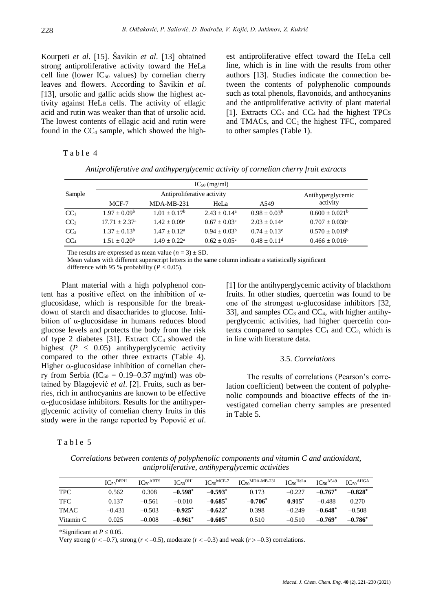Kourpeti *et al.* [15]. Šavikin *et al.* [13] obtained strong antiproliferative activity toward the HeLa cell line (lower  $IC_{50}$  values) by cornelian cherry leaves and flowers. According to Šavikin *et al*. [13], ursolic and gallic acids show the highest activity against HeLa cells. The activity of ellagic acid and rutin was weaker than that of ursolic acid. The lowest contents of ellagic acid and rutin were found in the  $CC_4$  sample, which showed the highest antiproliferative effect toward the HeLa cell line, which is in line with the results from other authors [13]. Studies indicate the connection between the contents of polyphenolic compounds such as total phenols, flavonoids, and anthocyanins and the antiproliferative activity of plant material [1]. Extracts  $CC_3$  and  $CC_4$  had the highest TPCs and TMACs, and  $CC<sub>1</sub>$  the highest TFC, compared to other samples (Table 1).

#### Table 4

| Antiproliferative and antihyperglycemic activity of cornelian cherry fruit extracts |  |  |
|-------------------------------------------------------------------------------------|--|--|
|                                                                                     |  |  |

| Sample          |                       | Antihyperglycemic |                         |                       |                                |
|-----------------|-----------------------|-------------------|-------------------------|-----------------------|--------------------------------|
|                 | MCF-7                 | $MDA-MB-231$      | HeLa                    | A <sub>549</sub>      | activity                       |
| CC <sub>1</sub> | $1.97 + 0.09^{\rm b}$ | $1.01 + 0.17^b$   | $2.43 + 0.14^a$         | $0.98 + 0.03^b$       | $0.600 + 0.021^b$              |
| CC <sub>2</sub> | $17.71 + 2.37a$       | $1.42 + 0.09^a$   | $0.67 + 0.03^{\circ}$   | $2.03 + 0.14^a$       | $0.707 + 0.030^{\text{a}}$     |
| CC <sub>3</sub> | $1.37 + 0.13^b$       | $1.47 + 0.12^a$   | $0.94 + 0.03^b$         | $0.74 + 0.13^{\circ}$ | $0.570 \pm 0.019^b$            |
| CC <sub>4</sub> | $1.51 + 0.20b$        | $1.49 + 0.22^a$   | $0.62 \pm 0.05^{\circ}$ | $0.48 + 0.11^d$       | $0.466 \pm 0.016$ <sup>c</sup> |

The results are expressed as mean value  $(n = 3) \pm SD$ .

Mean values with different superscript letters in the same column indicate a statistically significant difference with 95 % probability  $(P < 0.05)$ .

Plant material with a high polyphenol content has a positive effect on the inhibition of  $\alpha$ glucosidase, which is responsible for the breakdown of starch and disaccharides to glucose. Inhibition of α-glucosidase in humans reduces blood glucose levels and protects the body from the risk of type 2 diabetes [31]. Extract  $CC_4$  showed the highest ( $P \leq 0.05$ ) antihyperglycemic activity compared to the other three extracts (Table 4). Higher  $\alpha$ -glucosidase inhibition of cornelian cherry from Serbia ( $IC_{50} = 0.19{\text -}0.37$  mg/ml) was obtained by Blagojević et al. [2]. Fruits, such as berries, rich in anthocyanins are known to be effective  $\alpha$ -glucosidase inhibitors. Results for the antihyperglycemic activity of cornelian cherry fruits in this study were in the range reported by Popović *et al*.

### Table 5

[1] for the antihyperglycemic activity of blackthorn fruits. In other studies, quercetin was found to be one of the strongest  $\alpha$ -glucosidase inhibitors [32, 33], and samples  $CC_3$  and  $CC_4$ , with higher antihyperglycemic activities, had higher quercetin contents compared to samples  $CC_1$  and  $CC_2$ , which is in line with literature data.

### 3.5. *Correlations*

The results of correlations (Pearson's correlation coefficient) between the content of polyphenolic compounds and bioactive effects of the investigated cornelian cherry samples are presented in Table 5.

*Correlations between contents of polyphenolic components and vitamin C and antioxidant, antiproliferative, antihyperglycemic activities*

|            | $IC_{50}$ DPPH | $IC_{50}$ ABTS | IC <sub>50</sub> OH | $IC50MCF-7$ | $\text{IC}_{50}$ MDA-MB-231 | $IC_{50}$ HeLa | $IC_{50}$ <sup>A549</sup> | IC <sub>50</sub> AHGA |
|------------|----------------|----------------|---------------------|-------------|-----------------------------|----------------|---------------------------|-----------------------|
| <b>TPC</b> | 0.562          | 0.308          | $-0.598^*$          | $-0.593*$   | 0.173                       | $-0.227$       | $-0.767^*$                | $-0.828*$             |
| TFC        | 0.137          | $-0.561$       | $-0.010$            | $-0.685^*$  | $-0.706^*$                  | $0.915*$       | $-0.488$                  | 0.270                 |
| TMAC       | $-0.431$       | $-0.503$       | $-0.925^*$          | $-0.622^*$  | 0.398                       | $-0.249$       | $-0.648^*$                | $-0.508$              |
| Vitamin C  | 0.025          | $-0.008$       | $-0.961$ *          | $-0.605^*$  | 0.510                       | $-0.510$       | $-0.769^*$                | $-0.786^*$            |

\*Significant at  $P \leq 0.05$ .

Very strong  $(r < -0.7)$ , strong  $(r < -0.5)$ , moderate  $(r < -0.3)$  and weak  $(r > -0.3)$  correlations.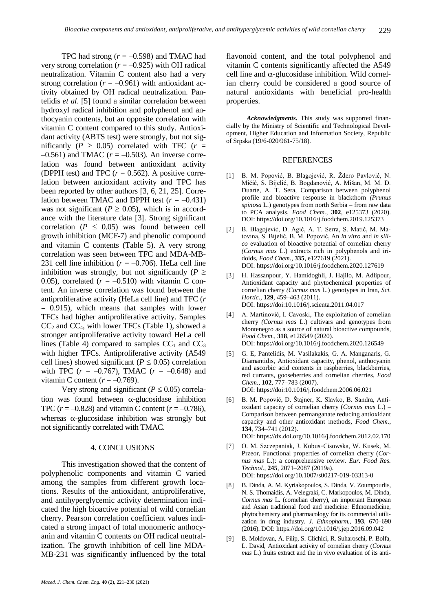TPC had strong  $(r = -0.598)$  and TMAC had very strong correlation  $(r = -0.925)$  with OH radical neutralization. Vitamin C content also had a very strong correlation  $(r = -0.961)$  with antioxidant activity obtained by OH radical neutralization. Pantelidis *et al.* [5] found a similar correlation between hydroxyl radical inhibition and polyphenol and anthocyanin contents, but an opposite correlation with vitamin C content compared to this study. Antioxidant activity (ABTS test) were strongly, but not significantly ( $P \ge 0.05$ ) correlated with TFC ( $r =$  $-0.561$ ) and TMAC ( $r = -0.503$ ). An inverse correlation was found between antioxidant activity (DPPH test) and TPC  $(r = 0.562)$ . A positive correlation between antioxidant activity and TPC has been reported by other authors  $[3, 6, 21, 25]$ . Correlation between TMAC and DPPH test  $(r = -0.431)$ was not significant ( $P \ge 0.05$ ), which is in accordance with the literature data [3]. Strong significant correlation ( $P \leq 0.05$ ) was found between cell growth inhibition (MCF-7) and phenolic compound and vitamin C contents (Table 5). A very strong correlation was seen between TFC and MDA-MB-231 cell line inhibition ( $r = -0.706$ ). HeLa cell line inhibition was strongly, but not significantly ( $P \geq$ 0.05), correlated  $(r = -0.510)$  with vitamin C content. An inverse correlation was found between the antiproliferative activity (HeLa cell line) and TFC (*r* = 0.915), which means that samples with lower TFCs had higher antiproliferative activity. Samples  $CC<sub>2</sub>$  and  $CC<sub>4</sub>$ , with lower TFCs (Table 1), showed a stronger antiproliferative activity toward HeLa cell lines (Table 4) compared to samples  $CC_1$  and  $CC_3$ with higher TFCs. Antiproliferative activity (A549 cell lines) showed significant ( $P \le 0.05$ ) correlation with TPC  $(r = -0.767)$ , TMAC  $(r = -0.648)$  and vitamin C content  $(r = -0.769)$ .

Very strong and significant ( $P \le 0.05$ ) correlation was found between  $\alpha$ -glucosidase inhibition TPC ( $r = -0.828$ ) and vitamin C content ( $r = -0.786$ ), whereas  $\alpha$ -glucosidase inhibition was strongly but not significantly correlated with TMAC.

#### 4. CONCLUSIONS

This investigation showed that the content of polyphenolic components and vitamin C varied among the samples from different growth locations. Results of the antioxidant, antiproliferative, and antihyperglycemic activity determination indicated the high bioactive potential of wild cornelian cherry. Pearson correlation coefficient values indicated a strong impact of total monomeric anthocyanin and vitamin C contents on OH radical neutralization. The growth inhibition of cell line MDA-MB-231 was significantly influenced by the total flavonoid content, and the total polyphenol and vitamin C contents significantly affected the A549 cell line and  $\alpha$ -glucosidase inhibition. Wild cornelian cherry could be considered a good source of natural antioxidants with beneficial pro-health properties.

*Acknowledgments.* This study was supported financially by the Ministry of Scientific and Technological Development, Higher Education and Information Society, Republic of Srpska (19/6-020/961-75/18).

#### REFERENCES

- [1] B. M. Popović, B. Blagojević, R. Ždero Pavlović, N. Mićić, S. Bijelić, B. Bogdanović, A. Mišan, M. M. D. Duarte, A. T. Sera, Comparison between polyphenol profile and bioactive response in blackthorn *(Prunus spinosa* L.) genotypes from north Serbia – from raw data to PCA analysis, *Food Chem.*, **302**, e125373 (2020). DOI[: https://doi.org/10.1016/j.foodchem.2019.125373](https://doi.org/10.1016/j.foodchem.2019.125373)
- 2 B. Blagojević, D. Agić, A. T. Serra, S. Matić, M. Matovina, S. Bijelić, B. M. Popović, An *in vitro* and *in silico* evaluation of bioactive potential of cornelian cherry *(Cornus mas* L.) extracts rich in polyphenols and iridoids, *Food Chem.*, **335**, e127619 (2021). DOI[: https://doi.org/10.1016/j.foodchem.2020.127619](https://doi.org/10.1016/j.foodchem.2020.127619)
- 3 H. Hassanpour, Y. Hamidoghli, J. Hajilo, M. Adlipour, Antioxidant capacity and phytochemical properties of cornelian cherry *(Cornus mas* L.) genotypes in Iran, *Sci. Hortic.*, **129**, 459–463 (2011). DOI: <https://doi:10.1016/j.scienta.2011.04.017>
- [4] A. Martinović, I. Cavoski, The exploitation of cornelian cherry *(Cornus mas* L.) cultivars and genotypes from Montenegro as a source of natural bioactive compounds, *Food Chem.*, **318**, e126549 (2020). DOI[: https://doi.org/10.1016/j.foodchem.2020.126549](https://doi.org/10.1016/j.foodchem.2020.126549)
- [5] G. E, Pantelidis, M. Vasilakakis, G. A. Manganaris, G. Diamantidis, Antioxidant capacity, phenol, anthocyanin and ascorbic acid contents in raspberries, blackberries, red currants, gooseberries and cornelian cherries, *Food Chem.*, **102**, 777–783 (2007). DOI[: https://doi:10.1016/j.foodchem.2006.06.021](https://doi:10.1016/j.foodchem.2006.06.021)
- 6 B. M. Popović, D. Štajner, K. Slavko, B. Sandra, Antioxidant capacity of cornelian cherry (*Cornus mas* L.) – Comparison between permanganate reducing antioxidant capacity and other antioxidant methods, *Food Chem.*, **134**, 734–741 (2012). DOI[: https://dx.doi.org/10.1016/j.foodchem.2012.02.170](https://dx.doi.org/10.1016/j.foodchem.2012.02.170)
- [7] O. M. Szczepaniak, J. Kobus-Cisowska, W. Kusek, M. Przeor, Functional properties of cornelian cherry (*Cornus mas* L.): a comprehensive review. *Eur. Food Res. Technol.*, **245**, 2071–2087 (2019a). DOI[: https://doi.org/10.1007/s00217-019-03313-0](https://doi.org/10.1007/s00217-019-03313-0)
- [8] B. Dinda, A. M. Kyriakopoulos, S. Dinda, V. Zoumpourlis, N. S. Thomaidis, A. Velegraki, C. Markopoulos, M. Dinda, *Cornus mas* L. (cornelian cherry), an important European and Asian traditional food and medicine: Ethnomedicine, phytochemistry and pharmacology for its commercial utilization in drug industry. *J. Ethnopharm.*, **193**, 670–690 (2016). DOI[: https://doi.org/10.1016/j.jep.2016.09.042](https://doi.org/10.1016/j.jep.2016.09.042)
- 9 B. Moldovan, A. Filip, S. Clichici, R. Suharoschi, P. Bolfa, L. David, Antioxidant activity of cornelian cherry (*Cornus mas* L.) fruits extract and the in vivo evaluation of its anti-